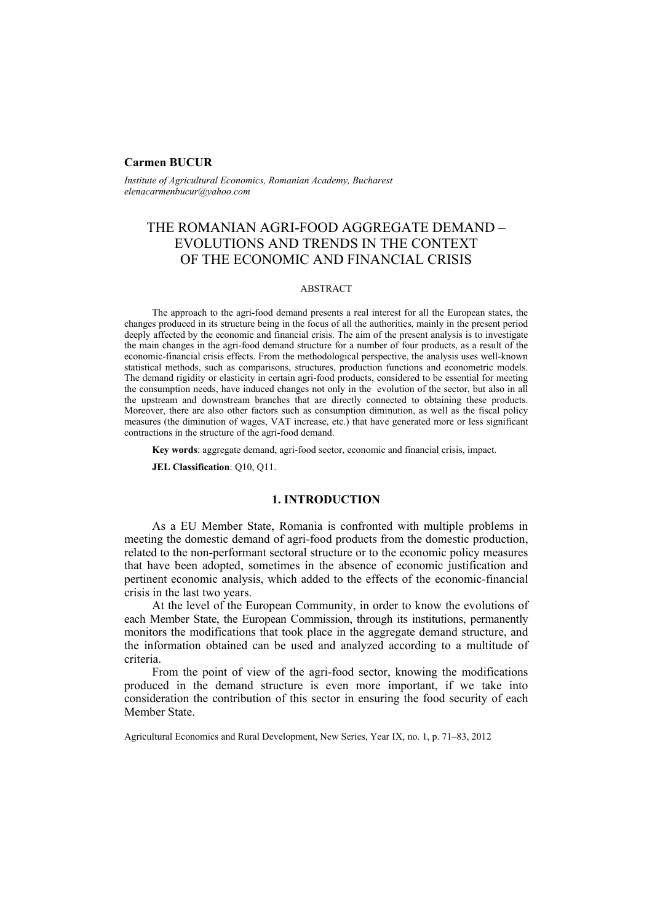## **Carmen BUCUR**

*Institute of Agricultural Economics, Romanian Academy, Bucharest elenacarmenbucur@yahoo.com*

# THE ROMANIAN AGRI-FOOD AGGREGATE DEMAND – EVOLUTIONS AND TRENDS IN THE CONTEXT OF THE ECONOMIC AND FINANCIAL CRISIS

## ABSTRACT

The approach to the agri-food demand presents a real interest for all the European states, the changes produced in its structure being in the focus of all the authorities, mainly in the present period deeply affected by the economic and financial crisis. The aim of the present analysis is to investigate the main changes in the agri-food demand structure for a number of four products, as a result of the economic-financial crisis effects. From the methodological perspective, the analysis uses well-known statistical methods, such as comparisons, structures, production functions and econometric models. The demand rigidity or elasticity in certain agri-food products, considered to be essential for meeting the consumption needs, have induced changes not only in the evolution of the sector, but also in all the upstream and downstream branches that are directly connected to obtaining these products. Moreover, there are also other factors such as consumption diminution, as well as the fiscal policy measures (the diminution of wages, VAT increase, etc.) that have generated more or less significant contractions in the structure of the agri-food demand.

**Key words**: aggregate demand, agri-food sector, economic and financial crisis, impact.

**JEL Classification**: Q10, Q11.

# **1. INTRODUCTION**

As a EU Member State, Romania is confronted with multiple problems in meeting the domestic demand of agri-food products from the domestic production, related to the non-performant sectoral structure or to the economic policy measures that have been adopted, sometimes in the absence of economic justification and pertinent economic analysis, which added to the effects of the economic-financial crisis in the last two years.

At the level of the European Community, in order to know the evolutions of each Member State, the European Commission, through its institutions, permanently monitors the modifications that took place in the aggregate demand structure, and the information obtained can be used and analyzed according to a multitude of criteria.

From the point of view of the agri-food sector, knowing the modifications produced in the demand structure is even more important, if we take into consideration the contribution of this sector in ensuring the food security of each Member State.

Agricultural Economics and Rural Development, New Series, Year IX, no. 1, p. 71–83, 2012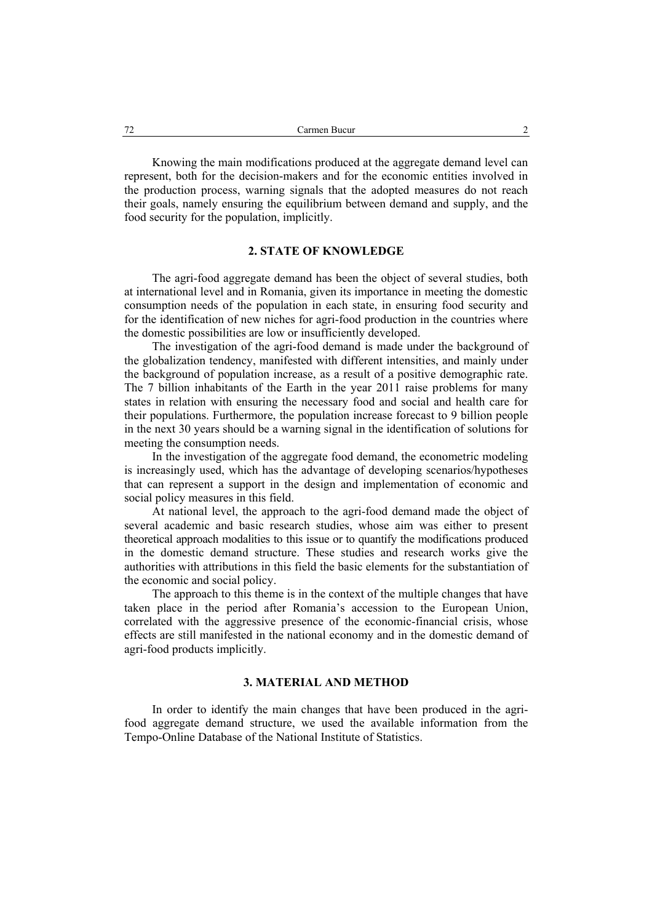Knowing the main modifications produced at the aggregate demand level can represent, both for the decision-makers and for the economic entities involved in the production process, warning signals that the adopted measures do not reach their goals, namely ensuring the equilibrium between demand and supply, and the food security for the population, implicitly.

# **2. STATE OF KNOWLEDGE**

The agri-food aggregate demand has been the object of several studies, both at international level and in Romania, given its importance in meeting the domestic consumption needs of the population in each state, in ensuring food security and for the identification of new niches for agri-food production in the countries where the domestic possibilities are low or insufficiently developed.

The investigation of the agri-food demand is made under the background of the globalization tendency, manifested with different intensities, and mainly under the background of population increase, as a result of a positive demographic rate. The 7 billion inhabitants of the Earth in the year 2011 raise problems for many states in relation with ensuring the necessary food and social and health care for their populations. Furthermore, the population increase forecast to 9 billion people in the next 30 years should be a warning signal in the identification of solutions for meeting the consumption needs.

In the investigation of the aggregate food demand, the econometric modeling is increasingly used, which has the advantage of developing scenarios/hypotheses that can represent a support in the design and implementation of economic and social policy measures in this field.

At national level, the approach to the agri-food demand made the object of several academic and basic research studies, whose aim was either to present theoretical approach modalities to this issue or to quantify the modifications produced in the domestic demand structure. These studies and research works give the authorities with attributions in this field the basic elements for the substantiation of the economic and social policy.

The approach to this theme is in the context of the multiple changes that have taken place in the period after Romania's accession to the European Union, correlated with the aggressive presence of the economic-financial crisis, whose effects are still manifested in the national economy and in the domestic demand of agri-food products implicitly.

## **3. MATERIAL AND METHOD**

In order to identify the main changes that have been produced in the agrifood aggregate demand structure, we used the available information from the Tempo-Online Database of the National Institute of Statistics.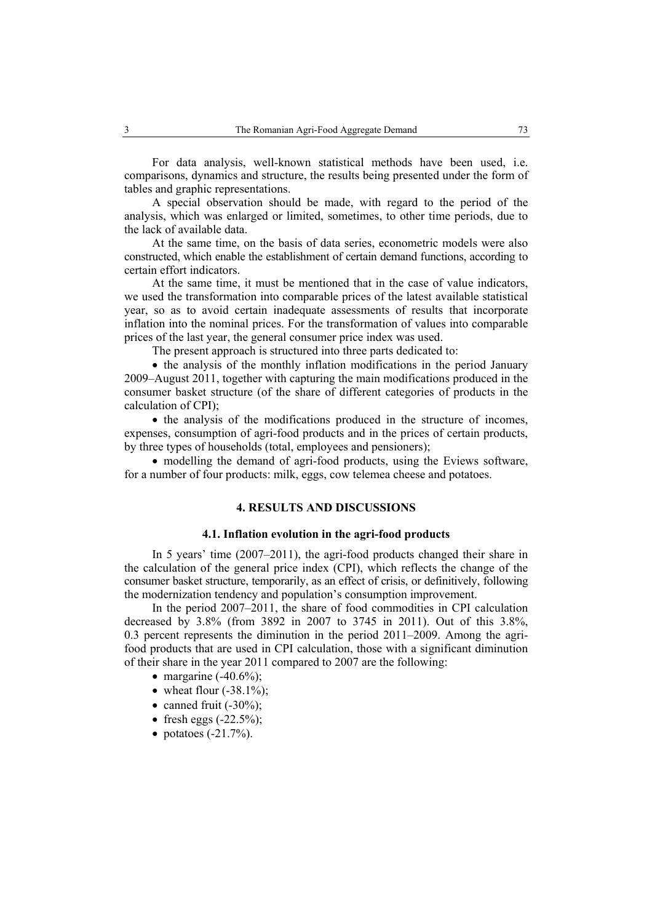For data analysis, well-known statistical methods have been used, i.e. comparisons, dynamics and structure, the results being presented under the form of tables and graphic representations.

A special observation should be made, with regard to the period of the analysis, which was enlarged or limited, sometimes, to other time periods, due to the lack of available data.

At the same time, on the basis of data series, econometric models were also constructed, which enable the establishment of certain demand functions, according to certain effort indicators.

At the same time, it must be mentioned that in the case of value indicators, we used the transformation into comparable prices of the latest available statistical year, so as to avoid certain inadequate assessments of results that incorporate inflation into the nominal prices. For the transformation of values into comparable prices of the last year, the general consumer price index was used.

The present approach is structured into three parts dedicated to:

• the analysis of the monthly inflation modifications in the period January 2009–August 2011, together with capturing the main modifications produced in the consumer basket structure (of the share of different categories of products in the calculation of CPI);

• the analysis of the modifications produced in the structure of incomes, expenses, consumption of agri-food products and in the prices of certain products, by three types of households (total, employees and pensioners);

• modelling the demand of agri-food products, using the Eviews software, for a number of four products: milk, eggs, cow telemea cheese and potatoes.

## **4. RESULTS AND DISCUSSIONS**

## **4.1. Inflation evolution in the agri-food products**

In 5 years' time (2007–2011), the agri-food products changed their share in the calculation of the general price index (CPI), which reflects the change of the consumer basket structure, temporarily, as an effect of crisis, or definitively, following the modernization tendency and population's consumption improvement.

In the period 2007–2011, the share of food commodities in CPI calculation decreased by 3.8% (from 3892 in 2007 to 3745 in 2011). Out of this 3.8%, 0.3 percent represents the diminution in the period 2011–2009. Among the agrifood products that are used in CPI calculation, those with a significant diminution of their share in the year 2011 compared to 2007 are the following:

- margarine  $(-40.6\%)$ ;
- wheat flour  $(-38.1\%)$ ;
- canned fruit  $(-30\%)$ :
- fresh eggs  $(-22.5\%)$ ;
- potatoes  $(-21.7\%)$ .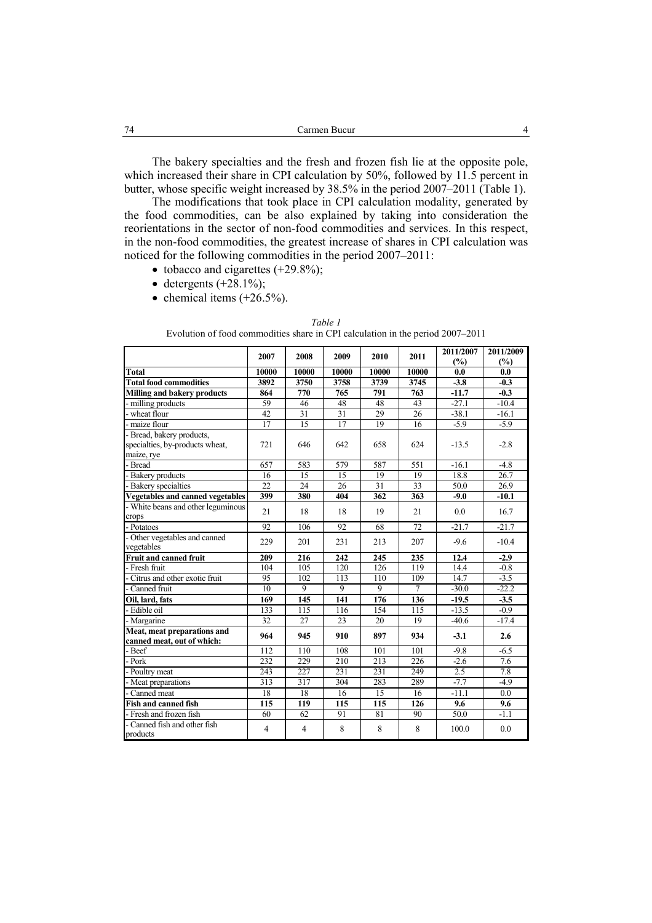The bakery specialties and the fresh and frozen fish lie at the opposite pole, which increased their share in CPI calculation by 50%, followed by 11.5 percent in butter, whose specific weight increased by 38.5% in the period 2007–2011 (Table 1).

The modifications that took place in CPI calculation modality, generated by the food commodities, can be also explained by taking into consideration the reorientations in the sector of non-food commodities and services. In this respect, in the non-food commodities, the greatest increase of shares in CPI calculation was noticed for the following commodities in the period 2007–2011:

- tobacco and cigarettes  $(+29.8\%)$ ;
- detergents  $(+28.1\%)$ ;
- chemical items  $(+26.5\%)$ .

|  | Evolution of food commodities share in CPI calculation in the period 2007-2011 |  |  |  |  |
|--|--------------------------------------------------------------------------------|--|--|--|--|
|  |                                                                                |  |  |  |  |

*Table 1* 

|                                                           | 2007           | 2008           | 2009           | 2010           | 2011           | 2011/2007 | 2011/2009 |
|-----------------------------------------------------------|----------------|----------------|----------------|----------------|----------------|-----------|-----------|
|                                                           |                |                |                |                |                | (%)       | (%)       |
| <b>Total</b>                                              | 10000          | 10000          | 10000          | 10000          | 10000          | 0.0       | 0.0       |
| <b>Total food commodities</b>                             | 3892           | 3750           | 3758           | 3739           | 3745           | $-3.8$    | $-0.3$    |
| <b>Milling and bakery products</b>                        | 864            | 770            | 765            | 791            | 763            | $-11.7$   | $-0.3$    |
| milling products                                          | 59             | 46             | 48             | 48             | 43             | $-27.1$   | $-10.4$   |
| - wheat flour                                             | 42             | 31             | 31             | 29             | 26             | $-38.1$   | $-16.1$   |
| - maize flour                                             | 17             | 15             | 17             | 19             | 16             | $-5.9$    | $-5.9$    |
| - Bread, bakery products,                                 |                |                |                |                |                |           |           |
| specialties, by-products wheat,                           | 721            | 646            | 642            | 658            | 624            | $-13.5$   | $-2.8$    |
| maize, rye                                                |                |                |                |                |                |           |           |
| Bread                                                     | 657            | 583            | 579            | 587            | 551            | $-16.1$   | $-4.8$    |
| Bakery products                                           | 16             | 15             | 15             | 19             | 19             | 18.8      | 26.7      |
| <b>Bakery</b> specialties                                 | 22             | 24             | 26             | 31             | 33             | 50.0      | 26.9      |
| Vegetables and canned vegetables                          | 399            | 380            | 404            | 362            | 363            | $-9.0$    | $-10.1$   |
| - White beans and other leguminous                        | 21             | 18             | 18             | 19             | 21             | 0.0       | 16.7      |
| crops                                                     |                |                |                |                |                |           |           |
| - Potatoes                                                | 92             | 106            | 92             | 68             | 72             | $-21.7$   | $-21.7$   |
| Other vegetables and canned<br>vegetables                 | 229            | 201            | 231            | 213            | 207            | $-9.6$    | $-10.4$   |
| <b>Fruit and canned fruit</b>                             | 209            | 216            | 242            | 245            | 235            | 12.4      | $-2.9$    |
| - Fresh fruit                                             | 104            | 105            | 120            | 126            | 119            | 14.4      | $-0.8$    |
| Citrus and other exotic fruit                             | 95             | 102            | 113            | 110            | 109            | 14.7      | $-3.5$    |
| Canned fruit                                              | 10             | $\overline{9}$ | $\overline{9}$ | $\overline{9}$ | $\overline{7}$ | $-30.0$   | $-22.2$   |
| Oil, lard, fats                                           | 169            | 145            | 141            | 176            | 136            | $-19.5$   | $-3.5$    |
| - Edible oil                                              | 133            | 115            | 116            | 154            | 115            | $-13.5$   | $-0.9$    |
| - Margarine                                               | 32             | 27             | 23             | 20             | 19             | $-40.6$   | $-17.4$   |
| Meat, meat preparations and<br>canned meat, out of which: | 964            | 945            | 910            | 897            | 934            | $-3.1$    | 2.6       |
| Beef                                                      | 112            | 110            | 108            | 101            | 101            | $-9.8$    | $-6.5$    |
| - Pork                                                    | 232            | 229            | 210            | 213            | 226            | $-2.6$    | 7.6       |
| - Poultry meat                                            | 243            | 227            | 231            | 231            | 249            | 2.5       | 7.8       |
| - Meat preparations                                       | 313            | 317            | 304            | 283            | 289            | $-7.7$    | $-4.9$    |
| Canned meat                                               | 18             | 18             | 16             | 15             | 16             | $-11.1$   | 0.0       |
| <b>Fish and canned fish</b>                               | 115            | 119            | 115            | 115            | 126            | 9.6       | 9.6       |
| - Fresh and frozen fish                                   | 60             | 62             | 91             | 81             | 90             | 50.0      | $-1.1$    |
| Canned fish and other fish<br>products                    | $\overline{4}$ | $\overline{4}$ | 8              | 8              | 8              | 100.0     | 0.0       |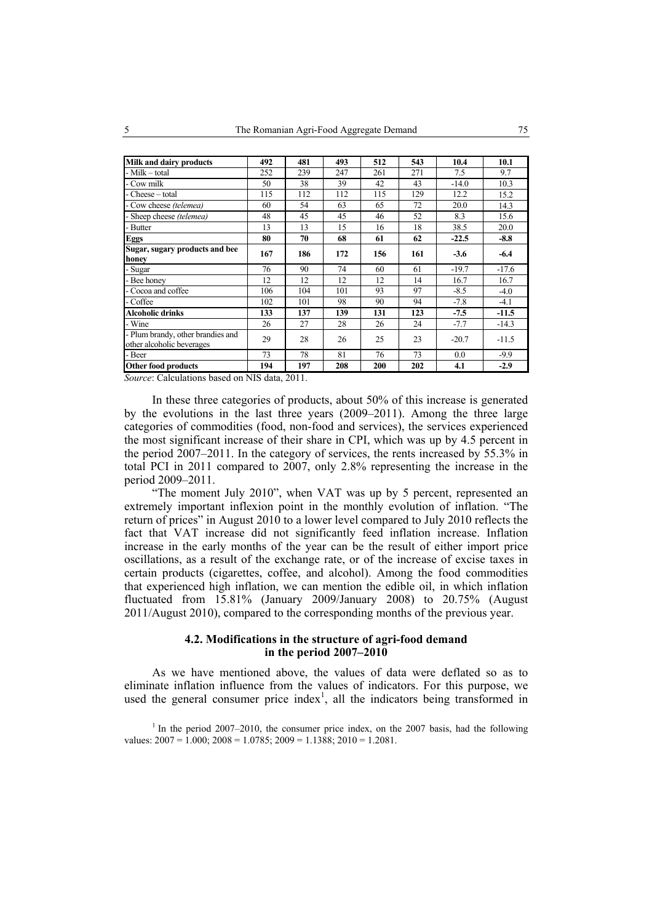| Milk and dairy products                                        | 492 | 481 | 493 | 512 | 543 | 10.4    | 10.1    |
|----------------------------------------------------------------|-----|-----|-----|-----|-----|---------|---------|
| - Milk – total                                                 | 252 | 239 | 247 | 261 | 271 | 7.5     | 9.7     |
| - Cow milk                                                     | 50  | 38  | 39  | 42  | 43  | $-14.0$ | 10.3    |
| - Cheese – total                                               | 115 | 112 | 112 | 115 | 129 | 12.2    | 15.2    |
| - Cow cheese (telemea)                                         | 60  | 54  | 63  | 65  | 72  | 20.0    | 14.3    |
| - Sheep cheese (telemea)                                       | 48  | 45  | 45  | 46  | 52  | 8.3     | 15.6    |
| - Butter                                                       | 13  | 13  | 15  | 16  | 18  | 38.5    | 20.0    |
| <b>Eggs</b>                                                    | 80  | 70  | 68  | 61  | 62  | $-22.5$ | $-8.8$  |
| Sugar, sugary products and bee<br>honey                        | 167 | 186 | 172 | 156 | 161 | $-3.6$  | $-6.4$  |
| - Sugar                                                        | 76  | 90  | 74  | 60  | 61  | $-19.7$ | $-17.6$ |
| - Bee honey                                                    | 12  | 12  | 12  | 12  | 14  | 16.7    | 16.7    |
| - Cocoa and coffee                                             | 106 | 104 | 101 | 93  | 97  | $-8.5$  | $-4.0$  |
| - Coffee                                                       | 102 | 101 | 98  | 90  | 94  | $-7.8$  | $-4.1$  |
| <b>Alcoholic drinks</b>                                        | 133 | 137 | 139 | 131 | 123 | $-7.5$  | $-11.5$ |
| - Wine                                                         | 26  | 27  | 28  | 26  | 24  | $-7.7$  | $-14.3$ |
| - Plum brandy, other brandies and<br>other alcoholic beverages | 29  | 28  | 26  | 25  | 23  | $-20.7$ | $-11.5$ |
| - Beer                                                         | 73  | 78  | 81  | 76  | 73  | 0.0     | $-9.9$  |
| <b>Other food products</b>                                     | 194 | 197 | 208 | 200 | 202 | 4.1     | $-2.9$  |

*Source*: Calculations based on NIS data, 2011.

In these three categories of products, about 50% of this increase is generated by the evolutions in the last three years (2009–2011). Among the three large categories of commodities (food, non-food and services), the services experienced the most significant increase of their share in CPI, which was up by 4.5 percent in the period 2007–2011. In the category of services, the rents increased by 55.3% in total PCI in 2011 compared to 2007, only 2.8% representing the increase in the period 2009–2011.

"The moment July 2010", when VAT was up by 5 percent, represented an extremely important inflexion point in the monthly evolution of inflation. "The return of prices" in August 2010 to a lower level compared to July 2010 reflects the fact that VAT increase did not significantly feed inflation increase. Inflation increase in the early months of the year can be the result of either import price oscillations, as a result of the exchange rate, or of the increase of excise taxes in certain products (cigarettes, coffee, and alcohol). Among the food commodities that experienced high inflation, we can mention the edible oil, in which inflation fluctuated from 15.81% (January 2009/January 2008) to 20.75% (August 2011/August 2010), compared to the corresponding months of the previous year.

# **4.2. Modifications in the structure of agri-food demand in the period 2007–2010**

As we have mentioned above, the values of data were deflated so as to eliminate inflation influence from the values of indicators. For this purpose, we used the general consumer price index<sup>1</sup>, all the indicators being transformed in

<sup>1</sup> In the period 2007–2010, the consumer price index, on the 2007 basis, had the following values:  $2007 = 1.000$ ;  $2008 = 1.0785$ ;  $2009 = 1.1388$ ;  $2010 = 1.2081$ .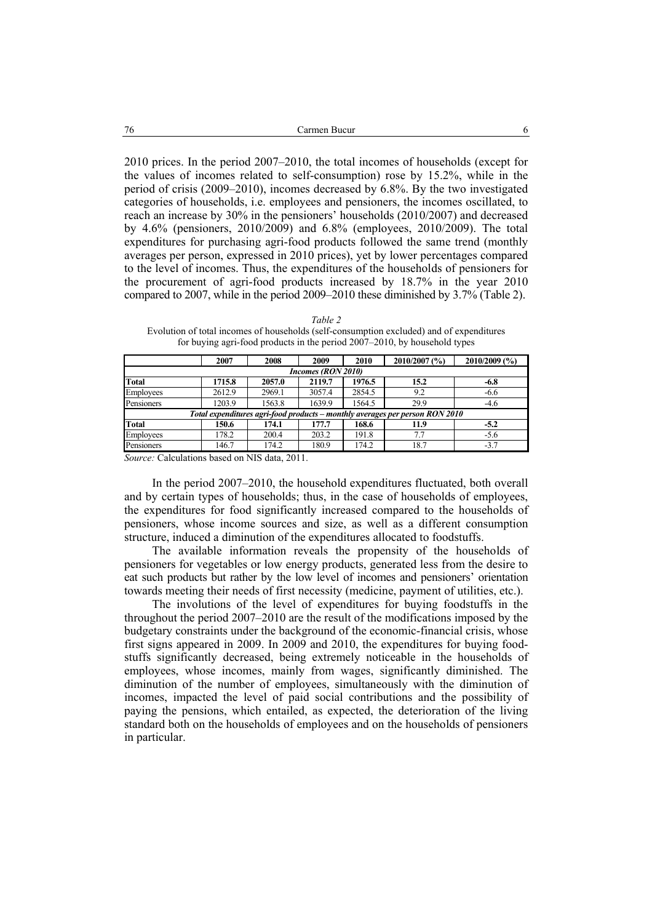2010 prices. In the period 2007–2010, the total incomes of households (except for the values of incomes related to self-consumption) rose by 15.2%, while in the period of crisis (2009–2010), incomes decreased by 6.8%. By the two investigated categories of households, i.e. employees and pensioners, the incomes oscillated, to reach an increase by 30% in the pensioners' households (2010/2007) and decreased by 4.6% (pensioners, 2010/2009) and 6.8% (employees, 2010/2009). The total expenditures for purchasing agri-food products followed the same trend (monthly averages per person, expressed in 2010 prices), yet by lower percentages compared to the level of incomes. Thus, the expenditures of the households of pensioners for the procurement of agri-food products increased by 18.7% in the year 2010 compared to 2007, while in the period 2009–2010 these diminished by 3.7% (Table 2).

| Table 2                                                                                  |
|------------------------------------------------------------------------------------------|
| Evolution of total incomes of households (self-consumption excluded) and of expenditures |
| for buying agri-food products in the period $2007-2010$ , by household types             |

|                    | 2007   | 2008   | 2009   | 2010   | 2010/2007 (%)                                                                | 2010/2009 (%) |  |  |  |  |
|--------------------|--------|--------|--------|--------|------------------------------------------------------------------------------|---------------|--|--|--|--|
| Incomes (RON 2010) |        |        |        |        |                                                                              |               |  |  |  |  |
| <b>Total</b>       | 1715.8 | 2057.0 | 2119.7 | 1976.5 | 15.2                                                                         | -6.8          |  |  |  |  |
| <b>Employees</b>   | 2612.9 | 2969.1 | 3057.4 | 2854.5 | 9.2                                                                          | $-6.6$        |  |  |  |  |
| Pensioners         | 1203.9 | 1563.8 | 1639.9 | 1564.5 | 29.9                                                                         | $-4.6$        |  |  |  |  |
|                    |        |        |        |        | Total expenditures agri-food products – monthly averages per person RON 2010 |               |  |  |  |  |
| <b>Total</b>       | 150.6  | 174.1  | 177.7  | 168.6  | 11.9                                                                         | $-5.2$        |  |  |  |  |
| Employees          | 178.2  | 200.4  | 203.2  | 191.8  | 7.7                                                                          | $-5.6$        |  |  |  |  |
| Pensioners         | 146.7  | 174.2  | 180.9  | 174.2  | 18.7                                                                         | $-3.7$        |  |  |  |  |

*Source:* Calculations based on NIS data, 2011.

In the period 2007–2010, the household expenditures fluctuated, both overall and by certain types of households; thus, in the case of households of employees, the expenditures for food significantly increased compared to the households of pensioners, whose income sources and size, as well as a different consumption structure, induced a diminution of the expenditures allocated to foodstuffs.

The available information reveals the propensity of the households of pensioners for vegetables or low energy products, generated less from the desire to eat such products but rather by the low level of incomes and pensioners' orientation towards meeting their needs of first necessity (medicine, payment of utilities, etc.).

The involutions of the level of expenditures for buying foodstuffs in the throughout the period 2007–2010 are the result of the modifications imposed by the budgetary constraints under the background of the economic-financial crisis, whose first signs appeared in 2009. In 2009 and 2010, the expenditures for buying foodstuffs significantly decreased, being extremely noticeable in the households of employees, whose incomes, mainly from wages, significantly diminished. The diminution of the number of employees, simultaneously with the diminution of incomes, impacted the level of paid social contributions and the possibility of paying the pensions, which entailed, as expected, the deterioration of the living standard both on the households of employees and on the households of pensioners in particular.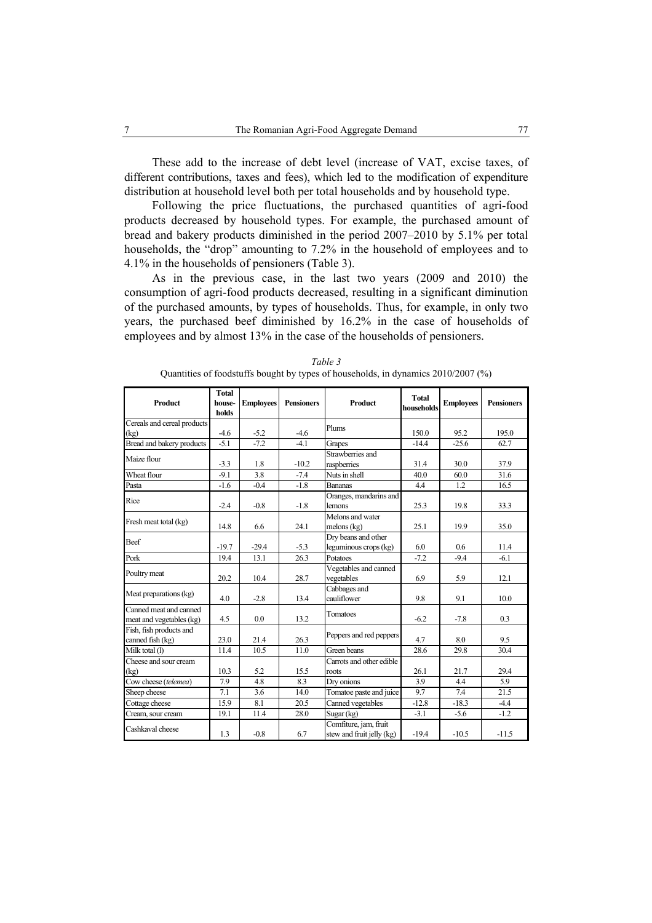These add to the increase of debt level (increase of VAT, excise taxes, of different contributions, taxes and fees), which led to the modification of expenditure distribution at household level both per total households and by household type.

Following the price fluctuations, the purchased quantities of agri-food products decreased by household types. For example, the purchased amount of bread and bakery products diminished in the period 2007–2010 by 5.1% per total households, the "drop" amounting to 7.2% in the household of employees and to 4.1% in the households of pensioners (Table 3).

As in the previous case, in the last two years (2009 and 2010) the consumption of agri-food products decreased, resulting in a significant diminution of the purchased amounts, by types of households. Thus, for example, in only two years, the purchased beef diminished by 16.2% in the case of households of employees and by almost 13% in the case of the households of pensioners.

| Product                                            | <b>Total</b><br>house-<br>holds | <b>Employees</b> | <b>Pensioners</b> | Product                                            | <b>Total</b><br>households | <b>Employees</b> | <b>Pensioners</b> |
|----------------------------------------------------|---------------------------------|------------------|-------------------|----------------------------------------------------|----------------------------|------------------|-------------------|
| Cereals and cereal products                        |                                 |                  |                   | Plums                                              |                            |                  |                   |
| (kg)                                               | $-4.6$                          | $-5.2$           | $-4.6$            |                                                    | 150.0                      | 95.2             | 195.0             |
| Bread and bakery products                          | $-5.1$                          | $-7.2$           | $-4.1$            | Grapes                                             | $-14.4$                    | $-25.6$          | 62.7              |
| Maize flour                                        |                                 |                  |                   | Strawberries and                                   |                            |                  |                   |
|                                                    | $-3.3$                          | 1.8              | $-10.2$           | raspberries                                        | 31.4                       | 30.0             | 37.9              |
| Wheat flour                                        | $-9.1$                          | 3.8              | $-7.4$            | Nuts in shell                                      | 40.0                       | 60.0             | 31.6              |
| Pasta                                              | $-1.6$                          | $-0.4$           | $-1.8$            | <b>Bananas</b>                                     | 4.4                        | 1.2              | 16.5              |
| Rice                                               | $-2.4$                          | $-0.8$           | $-1.8$            | Oranges, mandarins and<br>lemons                   | 25.3                       | 19.8             | 33.3              |
| Fresh meat total (kg)                              | 14.8                            | 6.6              | 24.1              | Melons and water<br>melons $(kg)$                  | 25.1                       | 19.9             | 35.0              |
| Beef                                               | $-19.7$                         | $-29.4$          | $-5.3$            | Dry beans and other<br>leguminous crops (kg)       | 60                         | 0.6              | 11.4              |
| Pork                                               | 19.4                            | 13.1             | 26.3              | Potatoes                                           | $-7.2$                     | $-9.4$           | $-6.1$            |
| Poultry meat                                       | 20.2                            | 10.4             | 28.7              | Vegetables and canned<br>vegetables                | 6.9                        | 5.9              | 12.1              |
| Meat preparations (kg)                             | 4.0                             | $-2.8$           | 13.4              | Cabbages and<br>cauliflower                        | 9.8                        | 9.1              | 10.0              |
| Canned meat and canned<br>meat and vegetables (kg) | 4.5                             | 0.0              | 13.2              | Tomatoes                                           | $-6.2$                     | $-7.8$           | 0.3               |
| Fish, fish products and<br>canned fish (kg)        | 23.0                            | 21.4             | 26.3              | Peppers and red peppers                            | 4.7                        | 8.0              | 9.5               |
| Milk total (l)                                     | 11.4                            | 10.5             | 11.0              | Green beans                                        | 28.6                       | 29.8             | 30.4              |
| Cheese and sour cream<br>(kg)                      | 10.3                            | 5.2              | 15.5              | Carrots and other edible<br>roots                  | 26.1                       | 21.7             | 29.4              |
| Cow cheese (telemea)                               | 7.9                             | 4.8              | 8.3               | Drv onions                                         | 3.9                        | 4.4              | 5.9               |
| Sheep cheese                                       | 7.1                             | 3.6              | 14.0              | Tomatoe paste and juice                            | 9.7                        | 7.4              | 21.5              |
| Cottage cheese                                     | 15.9                            | 8.1              | 20.5              | Canned vegetables                                  | $-12.8$                    | $-18.3$          | $-4.4$            |
| Cream, sour cream                                  | 19.1                            | 11.4             | 28.0              | Sugar $(kg)$                                       | $-3.1$                     | $-5.6$           | $-1.2$            |
| Cashkaval cheese                                   | 1.3                             | $-0.8$           | 6.7               | Comfiture, jam, fruit<br>stew and fruit jelly (kg) | $-19.4$                    | $-10.5$          | $-11.5$           |

*Table 3*  Quantities of foodstuffs bought by types of households, in dynamics 2010/2007 (%)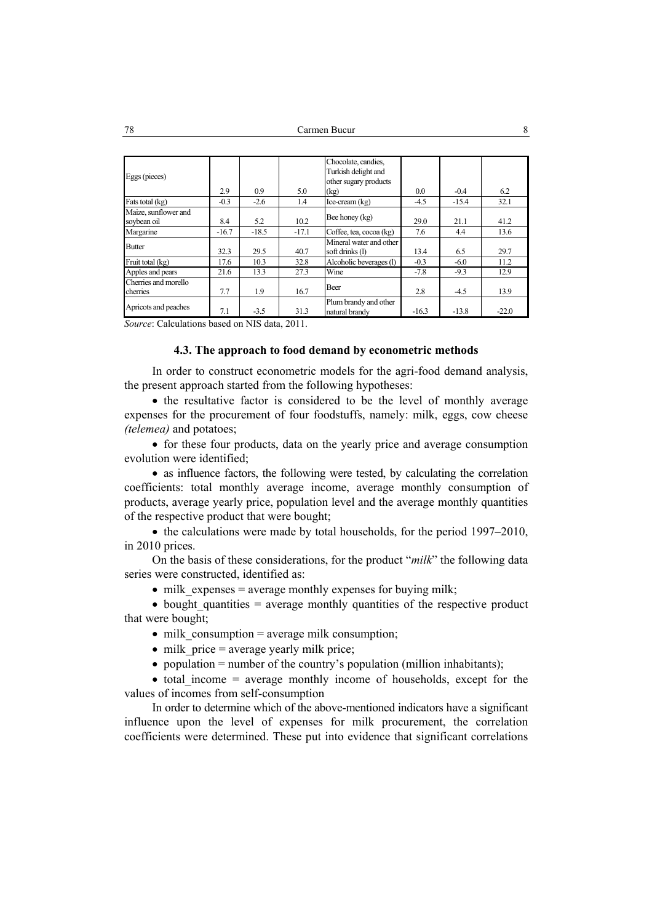|                      |         |         |         | Chocolate, candies,     |         |         |         |
|----------------------|---------|---------|---------|-------------------------|---------|---------|---------|
|                      |         |         |         |                         |         |         |         |
| Eggs (pieces)        |         |         |         | Turkish delight and     |         |         |         |
|                      |         |         |         | other sugary products   |         |         |         |
|                      | 2.9     | 0.9     | 5.0     | (kg)                    | 0.0     | $-0.4$  | 6.2     |
| Fats total (kg)      | $-0.3$  | $-2.6$  | 1.4     | $Ice-cream (kg)$        | $-4.5$  | $-15.4$ | 32.1    |
| Maize, sunflower and |         |         |         |                         |         |         |         |
| soybean oil          | 8.4     | 5.2     | 10.2    | Bee honey (kg)          | 29.0    | 21.1    | 41.2    |
| Margarine            | $-16.7$ | $-18.5$ | $-17.1$ | Coffee, tea, cocoa (kg) | 7.6     | 4.4     | 13.6    |
|                      |         |         |         | Mineral water and other |         |         |         |
| <b>Butter</b>        | 32.3    | 29.5    | 40.7    | soft drinks (I)         | 13.4    | 6.5     | 29.7    |
| Fruit total (kg)     | 17.6    | 10.3    | 32.8    | Alcoholic beverages (1) | $-0.3$  | $-6.0$  | 11.2    |
| Apples and pears     | 21.6    | 13.3    | 27.3    | Wine                    | $-7.8$  | $-9.3$  | 12.9    |
| Cherries and morello |         |         |         | Beer                    |         |         |         |
| cherries             | 7.7     | 1.9     | 16.7    |                         | 2.8     | $-4.5$  | 13.9    |
|                      |         |         |         | Plum brandy and other   |         |         |         |
| Apricots and peaches | 7.1     | $-3.5$  | 31.3    | natural brandy          | $-16.3$ | $-13.8$ | $-22.0$ |

*Source*: Calculations based on NIS data, 2011.

# **4.3. The approach to food demand by econometric methods**

In order to construct econometric models for the agri-food demand analysis, the present approach started from the following hypotheses:

• the resultative factor is considered to be the level of monthly average expenses for the procurement of four foodstuffs, namely: milk, eggs, cow cheese *(telemea)* and potatoes;

• for these four products, data on the yearly price and average consumption evolution were identified;

• as influence factors, the following were tested, by calculating the correlation coefficients: total monthly average income, average monthly consumption of products, average yearly price, population level and the average monthly quantities of the respective product that were bought;

• the calculations were made by total households, for the period 1997–2010, in 2010 prices.

On the basis of these considerations, for the product "*milk*" the following data series were constructed, identified as:

• milk expenses  $=$  average monthly expenses for buying milk;

• bought quantities  $=$  average monthly quantities of the respective product that were bought;

 $\bullet$  milk consumption = average milk consumption;

- milk price  $=$  average yearly milk price;
- population  $=$  number of the country's population (million inhabitants);

• total income  $=$  average monthly income of households, except for the values of incomes from self-consumption

In order to determine which of the above-mentioned indicators have a significant influence upon the level of expenses for milk procurement, the correlation coefficients were determined. These put into evidence that significant correlations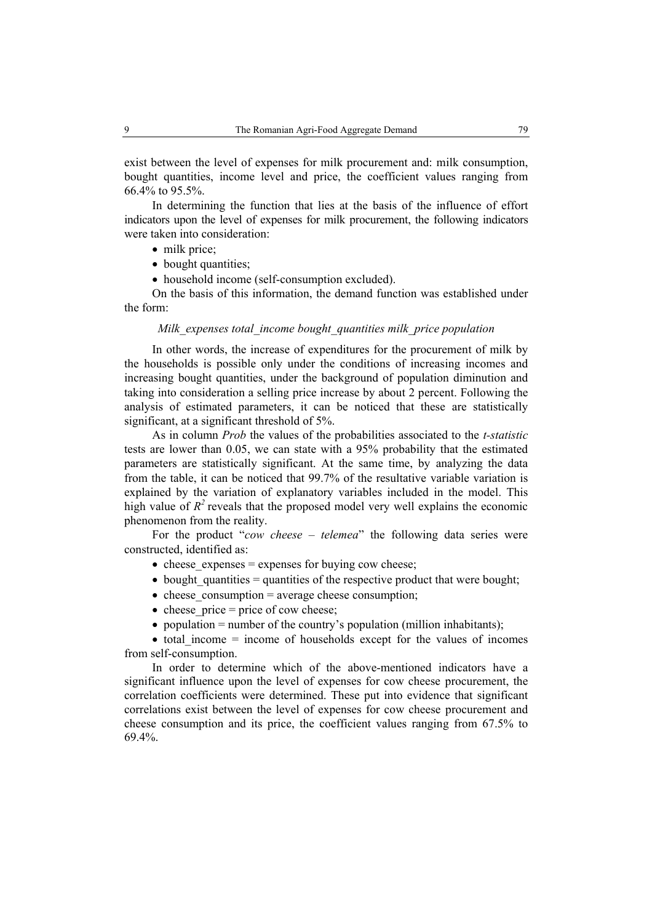exist between the level of expenses for milk procurement and: milk consumption, bought quantities, income level and price, the coefficient values ranging from 66.4% to 95.5%.

In determining the function that lies at the basis of the influence of effort indicators upon the level of expenses for milk procurement, the following indicators were taken into consideration:

- milk price;
- bought quantities:
- household income (self-consumption excluded).

On the basis of this information, the demand function was established under the form:

# *Milk\_expenses total\_income bought\_quantities milk\_price population*

In other words, the increase of expenditures for the procurement of milk by the households is possible only under the conditions of increasing incomes and increasing bought quantities, under the background of population diminution and taking into consideration a selling price increase by about 2 percent. Following the analysis of estimated parameters, it can be noticed that these are statistically significant, at a significant threshold of 5%.

As in column *Prob* the values of the probabilities associated to the *t-statistic* tests are lower than 0.05, we can state with a 95% probability that the estimated parameters are statistically significant. At the same time, by analyzing the data from the table, it can be noticed that 99.7% of the resultative variable variation is explained by the variation of explanatory variables included in the model. This high value of  $R^2$  reveals that the proposed model very well explains the economic phenomenon from the reality.

For the product "*cow cheese – telemea*" the following data series were constructed, identified as:

- $\bullet$  cheese expenses = expenses for buying cow cheese;
- bought quantities  $=$  quantities of the respective product that were bought;
- $\bullet$  cheese consumption = average cheese consumption;
- cheese price  $=$  price of cow cheese;
- population  $=$  number of the country's population (million inhabitants);

 $\bullet$  total income = income of households except for the values of incomes from self-consumption.

In order to determine which of the above-mentioned indicators have a significant influence upon the level of expenses for cow cheese procurement, the correlation coefficients were determined. These put into evidence that significant correlations exist between the level of expenses for cow cheese procurement and cheese consumption and its price, the coefficient values ranging from 67.5% to 69.4%.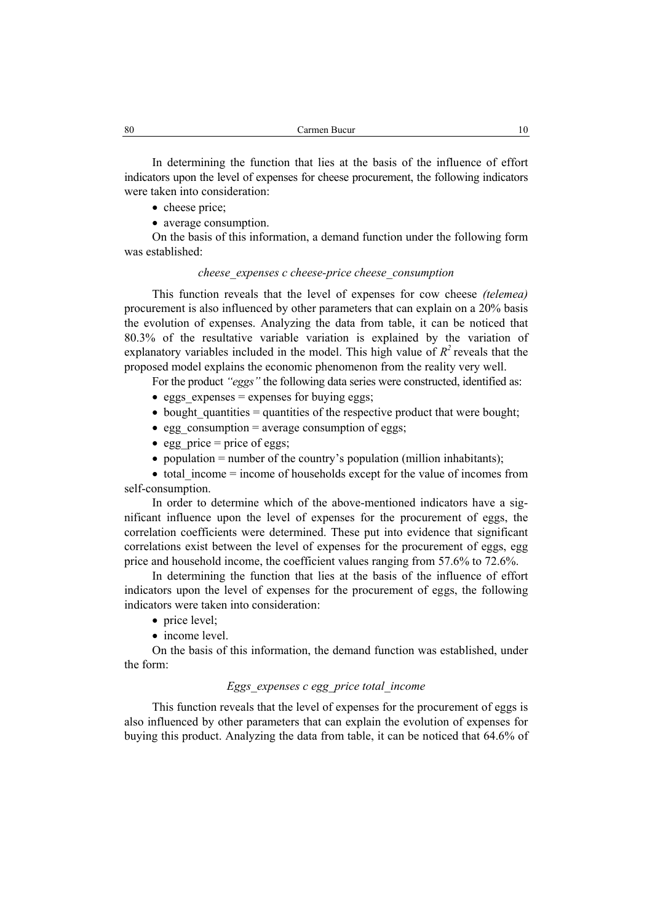In determining the function that lies at the basis of the influence of effort indicators upon the level of expenses for cheese procurement, the following indicators were taken into consideration:

- cheese price;
- average consumption.

On the basis of this information, a demand function under the following form was established:

# *cheese\_expenses c cheese-price cheese\_consumption*

This function reveals that the level of expenses for cow cheese *(telemea)*  procurement is also influenced by other parameters that can explain on a 20% basis the evolution of expenses. Analyzing the data from table, it can be noticed that 80.3% of the resultative variable variation is explained by the variation of explanatory variables included in the model. This high value of  $R^2$  reveals that the proposed model explains the economic phenomenon from the reality very well.

For the product *"eggs"* the following data series were constructed, identified as:

- eggs expenses  $=$  expenses for buying eggs;
- bought quantities  $=$  quantities of the respective product that were bought;
- egg consumption  $=$  average consumption of eggs;
- egg price  $=$  price of eggs;
- population  $=$  number of the country's population (million inhabitants);

 $\bullet$  total income = income of households except for the value of incomes from self-consumption.

In order to determine which of the above-mentioned indicators have a significant influence upon the level of expenses for the procurement of eggs, the correlation coefficients were determined. These put into evidence that significant correlations exist between the level of expenses for the procurement of eggs, egg price and household income, the coefficient values ranging from 57.6% to 72.6%.

In determining the function that lies at the basis of the influence of effort indicators upon the level of expenses for the procurement of eggs, the following indicators were taken into consideration:

- price level;
- income level.

On the basis of this information, the demand function was established, under the form:

## *Eggs\_expenses c egg\_price total\_income*

This function reveals that the level of expenses for the procurement of eggs is also influenced by other parameters that can explain the evolution of expenses for buying this product. Analyzing the data from table, it can be noticed that 64.6% of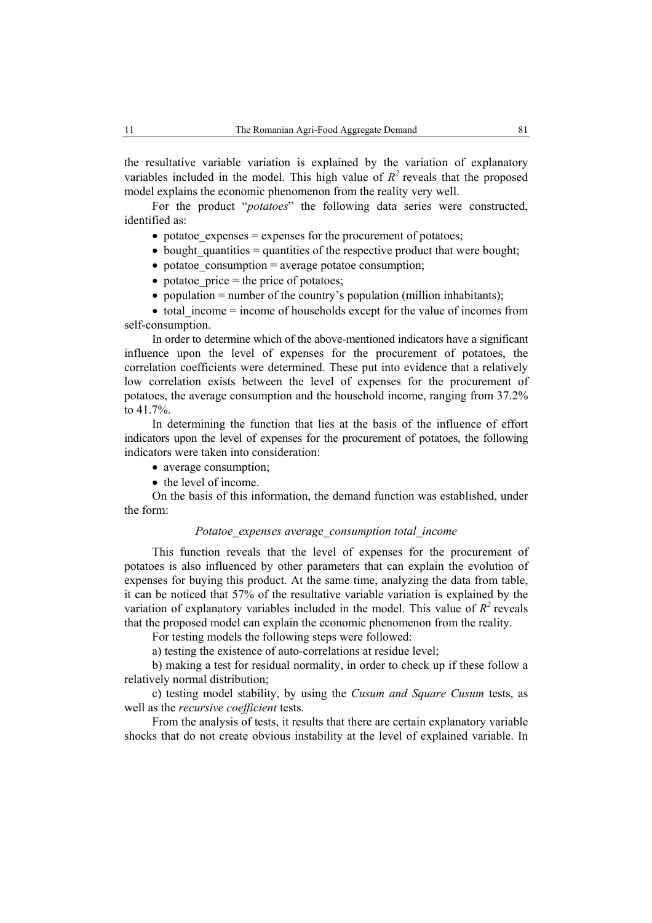the resultative variable variation is explained by the variation of explanatory variables included in the model. This high value of  $R^2$  reveals that the proposed model explains the economic phenomenon from the reality very well.

For the product "*potatoes*" the following data series were constructed, identified as:

- potatoe expenses  $=$  expenses for the procurement of potatoes;
- bought quantities = quantities of the respective product that were bought;
- $\bullet$  potatoe consumption = average potatoe consumption;
- potatoe  $\text{price} = \text{the price of potatoes};$
- population  $=$  number of the country's population (million inhabitants);

 $\bullet$  total income = income of households except for the value of incomes from self-consumption.

In order to determine which of the above-mentioned indicators have a significant influence upon the level of expenses for the procurement of potatoes, the correlation coefficients were determined. These put into evidence that a relatively low correlation exists between the level of expenses for the procurement of potatoes, the average consumption and the household income, ranging from 37.2% to 41.7%.

In determining the function that lies at the basis of the influence of effort indicators upon the level of expenses for the procurement of potatoes, the following indicators were taken into consideration:

- average consumption;
- the level of income.

On the basis of this information, the demand function was established, under the form:

#### *Potatoe\_expenses average\_consumption total\_income*

This function reveals that the level of expenses for the procurement of potatoes is also influenced by other parameters that can explain the evolution of expenses for buying this product. At the same time, analyzing the data from table, it can be noticed that 57% of the resultative variable variation is explained by the variation of explanatory variables included in the model. This value of  $R^2$  reveals that the proposed model can explain the economic phenomenon from the reality.

For testing models the following steps were followed:

a) testing the existence of auto-correlations at residue level;

b) making a test for residual normality, in order to check up if these follow a relatively normal distribution;

c) testing model stability, by using the *Cusum and Square Cusum* tests, as well as the *recursive coefficient* tests*.*

From the analysis of tests, it results that there are certain explanatory variable shocks that do not create obvious instability at the level of explained variable. In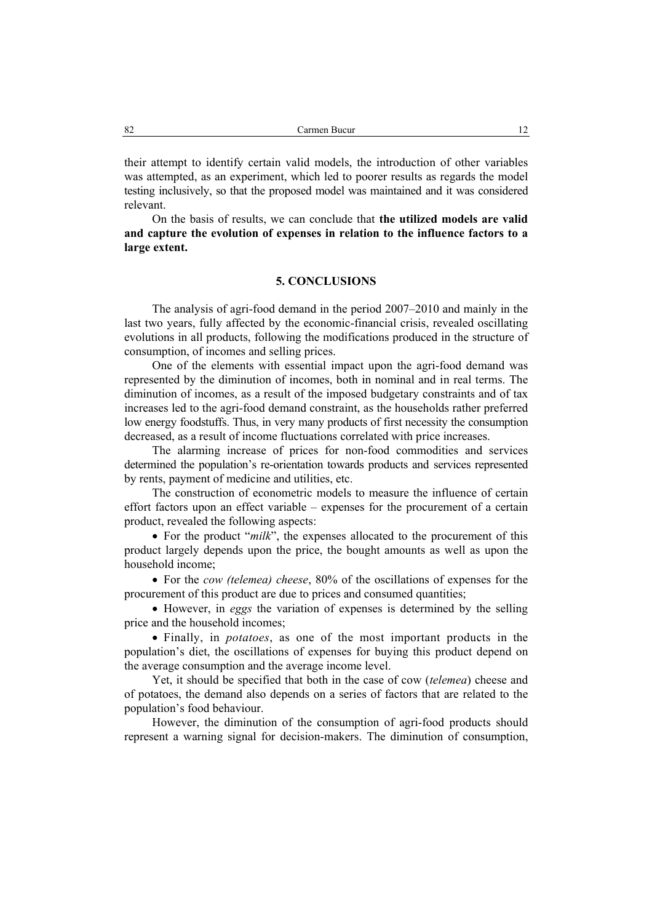their attempt to identify certain valid models, the introduction of other variables was attempted, as an experiment, which led to poorer results as regards the model testing inclusively, so that the proposed model was maintained and it was considered relevant.

On the basis of results, we can conclude that **the utilized models are valid and capture the evolution of expenses in relation to the influence factors to a large extent.** 

# **5. CONCLUSIONS**

The analysis of agri-food demand in the period 2007–2010 and mainly in the last two years, fully affected by the economic-financial crisis, revealed oscillating evolutions in all products, following the modifications produced in the structure of consumption, of incomes and selling prices.

One of the elements with essential impact upon the agri-food demand was represented by the diminution of incomes, both in nominal and in real terms. The diminution of incomes, as a result of the imposed budgetary constraints and of tax increases led to the agri-food demand constraint, as the households rather preferred low energy foodstuffs. Thus, in very many products of first necessity the consumption decreased, as a result of income fluctuations correlated with price increases.

The alarming increase of prices for non-food commodities and services determined the population's re-orientation towards products and services represented by rents, payment of medicine and utilities, etc.

The construction of econometric models to measure the influence of certain effort factors upon an effect variable – expenses for the procurement of a certain product, revealed the following aspects:

• For the product "*milk*", the expenses allocated to the procurement of this product largely depends upon the price, the bought amounts as well as upon the household income;

• For the *cow (telemea) cheese*, 80% of the oscillations of expenses for the procurement of this product are due to prices and consumed quantities;

• However, in *eggs* the variation of expenses is determined by the selling price and the household incomes;

• Finally, in *potatoes*, as one of the most important products in the population's diet, the oscillations of expenses for buying this product depend on the average consumption and the average income level.

Yet, it should be specified that both in the case of cow (*telemea*) cheese and of potatoes, the demand also depends on a series of factors that are related to the population's food behaviour.

However, the diminution of the consumption of agri-food products should represent a warning signal for decision-makers. The diminution of consumption,